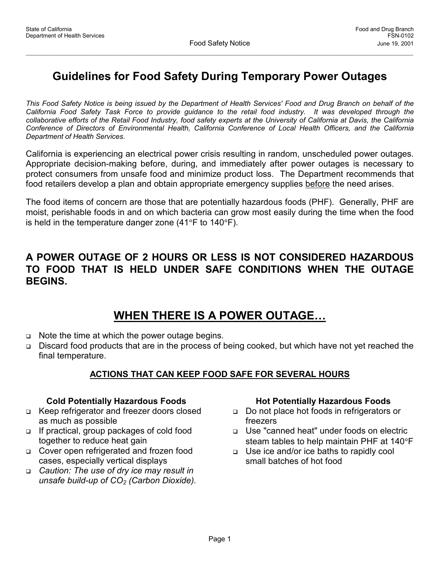## **Guidelines for Food Safety During Temporary Power Outages**

*This Food Safety Notice is being issued by the Department of Health Services' Food and Drug Branch on behalf of the California Food Safety Task Force to provide guidance to the retail food industry. It was developed through the collaborative efforts of the Retail Food Industry, food safety experts at the University of California at Davis, the California Conference of Directors of Environmental Health, California Conference of Local Health Officers, and the California Department of Health Services.*

California is experiencing an electrical power crisis resulting in random, unscheduled power outages. Appropriate decision-making before, during, and immediately after power outages is necessary to protect consumers from unsafe food and minimize product loss. The Department recommends that food retailers develop a plan and obtain appropriate emergency supplies before the need arises.

The food items of concern are those that are potentially hazardous foods (PHF). Generally, PHF are moist, perishable foods in and on which bacteria can grow most easily during the time when the food is held in the temperature danger zone  $(41^{\circ}F)$  to  $140^{\circ}F$ ).

### **A POWER OUTAGE OF 2 HOURS OR LESS IS NOT CONSIDERED HAZARDOUS TO FOOD THAT IS HELD UNDER SAFE CONDITIONS WHEN THE OUTAGE BEGINS.**

## **WHEN THERE IS A POWER OUTAGE…**

- $\Box$  Note the time at which the power outage begins.
- □ Discard food products that are in the process of being cooked, but which have not yet reached the final temperature.

#### **ACTIONS THAT CAN KEEP FOOD SAFE FOR SEVERAL HOURS**

#### **Cold Potentially Hazardous Foods**

- □ Keep refrigerator and freezer doors closed as much as possible
- $\Box$  If practical, group packages of cold food together to reduce heat gain
- □ Cover open refrigerated and frozen food cases, especially vertical displays
- *Caution: The use of dry ice may result in unsafe build-up of CO2 (Carbon Dioxide).*

#### **Hot Potentially Hazardous Foods**

- Do not place hot foods in refrigerators or freezers
- □ Use "canned heat" under foods on electric steam tables to help maintain PHF at  $140^{\circ}$ F
- □ Use ice and/or ice baths to rapidly cool small batches of hot food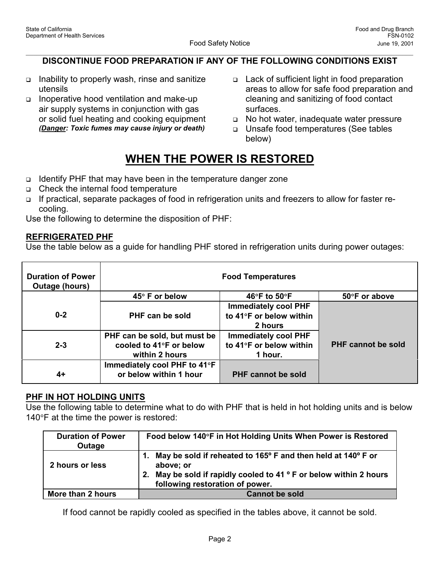#### **DISCONTINUE FOOD PREPARATION IF ANY OF THE FOLLOWING CONDITIONS EXIST**

- $\Box$  Inability to properly wash, rinse and sanitize utensils
- Inoperative hood ventilation and make-up air supply systems in conjunction with gas or solid fuel heating and cooking equipment *(Danger: Toxic fumes may cause injury or death)*
- □ Lack of sufficient light in food preparation areas to allow for safe food preparation and cleaning and sanitizing of food contact surfaces.
- No hot water, inadequate water pressure
- □ Unsafe food temperatures (See tables below)

# **WHEN THE POWER IS RESTORED**

- $\Box$  Identify PHF that may have been in the temperature danger zone
- □ Check the internal food temperature
- □ If practical, separate packages of food in refrigeration units and freezers to allow for faster recooling.

Use the following to determine the disposition of PHF:

#### **REFRIGERATED PHF**

Use the table below as a guide for handling PHF stored in refrigeration units during power outages:

| <b>Duration of Power</b><br><b>Outage (hours)</b> |                                                                           | <b>Food Temperatures</b>                                          |                           |
|---------------------------------------------------|---------------------------------------------------------------------------|-------------------------------------------------------------------|---------------------------|
|                                                   | 45° F or below                                                            | 46°F to 50°F                                                      | 50°F or above             |
| $0 - 2$                                           | PHF can be sold                                                           | <b>Immediately cool PHF</b><br>to 41°F or below within<br>2 hours |                           |
| $2 - 3$                                           | PHF can be sold, but must be<br>cooled to 41°F or below<br>within 2 hours | <b>Immediately cool PHF</b><br>to 41°F or below within<br>1 hour. | <b>PHF cannot be sold</b> |
| 4+                                                | Immediately cool PHF to 41°F<br>or below within 1 hour                    | <b>PHF cannot be sold</b>                                         |                           |

#### **PHF IN HOT HOLDING UNITS**

Use the following table to determine what to do with PHF that is held in hot holding units and is below 140 $\degree$ F at the time the power is restored:

| <b>Duration of Power</b><br>Outage | Food below 140°F in Hot Holding Units When Power is Restored                                                                                                                                         |  |
|------------------------------------|------------------------------------------------------------------------------------------------------------------------------------------------------------------------------------------------------|--|
| 2 hours or less                    | May be sold if reheated to 165 $\degree$ F and then held at 140 $\degree$ F or<br>above; or<br>2. May be sold if rapidly cooled to 41 ° F or below within 2 hours<br>following restoration of power. |  |
| More than 2 hours                  | <b>Cannot be sold</b>                                                                                                                                                                                |  |

If food cannot be rapidly cooled as specified in the tables above, it cannot be sold.